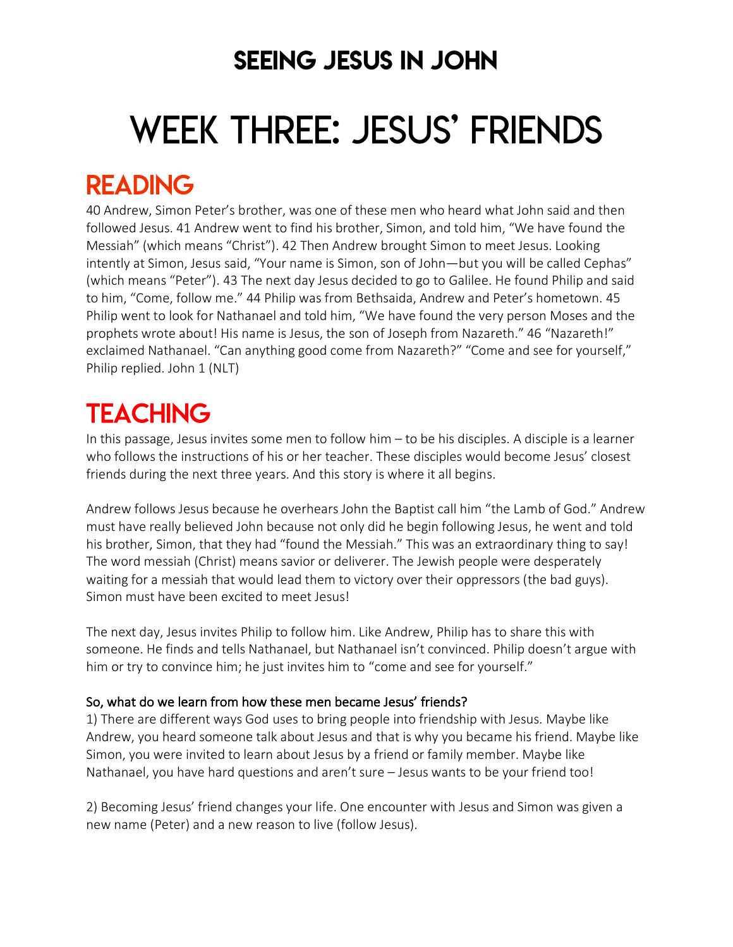### SEEING JESUS IN JOHN

# WEEK THREE: JESUS' FRIENDS

### READING

40 Andrew, Simon Peter's brother, was one of these men who heard what John said and then followed Jesus. 41 Andrew went to find his brother, Simon, and told him, "We have found the Messiah" (which means "Christ"). 42 Then Andrew brought Simon to meet Jesus. Looking intently at Simon, Jesus said, "Your name is Simon, son of John—but you will be called Cephas" (which means "Peter"). 43 The next day Jesus decided to go to Galilee. He found Philip and said to him, "Come, follow me." 44 Philip was from Bethsaida, Andrew and Peter's hometown. 45 Philip went to look for Nathanael and told him, "We have found the very person Moses and the prophets wrote about! His name is Jesus, the son of Joseph from Nazareth." 46 "Nazareth!" exclaimed Nathanael. "Can anything good come from Nazareth?" "Come and see for yourself," Philip replied. John 1 (NLT)

## **TEACHING**

In this passage, Jesus invites some men to follow him – to be his disciples. A disciple is a learner who follows the instructions of his or her teacher. These disciples would become Jesus' closest friends during the next three years. And this story is where it all begins.

Andrew follows Jesus because he overhears John the Baptist call him "the Lamb of God." Andrew must have really believed John because not only did he begin following Jesus, he went and told his brother, Simon, that they had "found the Messiah." This was an extraordinary thing to say! The word messiah (Christ) means savior or deliverer. The Jewish people were desperately waiting for a messiah that would lead them to victory over their oppressors (the bad guys). Simon must have been excited to meet Jesus!

The next day, Jesus invites Philip to follow him. Like Andrew, Philip has to share this with someone. He finds and tells Nathanael, but Nathanael isn't convinced. Philip doesn't argue with him or try to convince him; he just invites him to "come and see for yourself."

#### So, what do we learn from how these men became Jesus' friends?

1) There are different ways God uses to bring people into friendship with Jesus. Maybe like Andrew, you heard someone talk about Jesus and that is why you became his friend. Maybe like Simon, you were invited to learn about Jesus by a friend or family member. Maybe like Nathanael, you have hard questions and aren't sure – Jesus wants to be your friend too!

2) Becoming Jesus' friend changes your life. One encounter with Jesus and Simon was given a new name (Peter) and a new reason to live (follow Jesus).